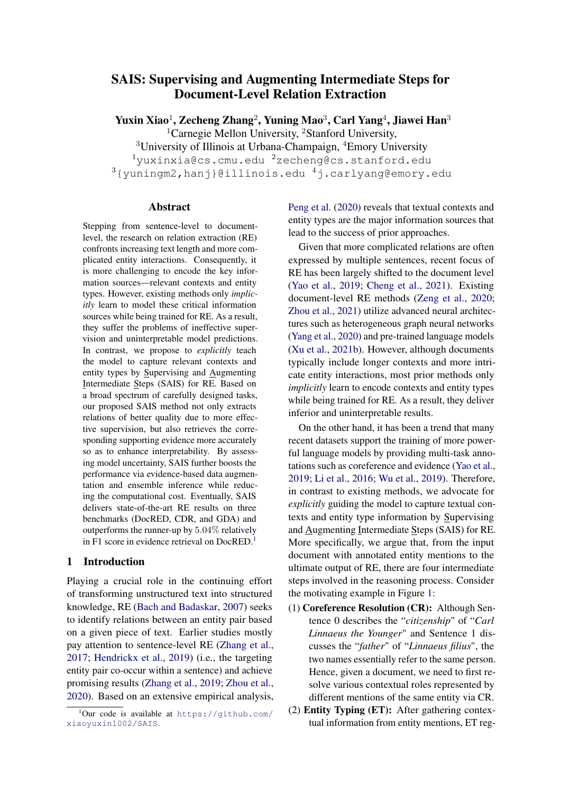## SAIS: Supervising and Augmenting Intermediate Steps for Document-Level Relation Extraction

Yuxin Xiao $^1$ , Zecheng Zhang $^2$ , Yuning Mao $^3$ , Carl Yang $^4$ , Jiawei Han $^3$ <sup>1</sup>Carnegie Mellon University, <sup>2</sup>Stanford University, <sup>3</sup>University of Illinois at Urbana-Champaign, <sup>4</sup>Emory University

 $1$ yuxinxia@cs.cmu.edu  $2$ zecheng@cs.stanford.edu

<sup>3</sup>{yuningm2,hanj}@illinois.edu <sup>4</sup>j.carlyang@emory.edu

#### Abstract

Stepping from sentence-level to documentlevel, the research on relation extraction (RE) confronts increasing text length and more complicated entity interactions. Consequently, it is more challenging to encode the key information sources—relevant contexts and entity types. However, existing methods only *implicitly* learn to model these critical information sources while being trained for RE. As a result, they suffer the problems of ineffective supervision and uninterpretable model predictions. In contrast, we propose to *explicitly* teach the model to capture relevant contexts and entity types by Supervising and Augmenting Intermediate Steps (SAIS) for RE. Based on a broad spectrum of carefully designed tasks, our proposed SAIS method not only extracts relations of better quality due to more effective supervision, but also retrieves the corresponding supporting evidence more accurately so as to enhance interpretability. By assessing model uncertainty, SAIS further boosts the performance via evidence-based data augmentation and ensemble inference while reducing the computational cost. Eventually, SAIS delivers state-of-the-art RE results on three benchmarks (DocRED, CDR, and GDA) and outperforms the runner-up by 5.04% relatively in F[1](#page-0-0) score in evidence retrieval on DocRED.<sup>1</sup>

## 1 Introduction

Playing a crucial role in the continuing effort of transforming unstructured text into structured knowledge, RE [\(Bach and Badaskar,](#page-8-0) [2007\)](#page-8-0) seeks to identify relations between an entity pair based on a given piece of text. Earlier studies mostly pay attention to sentence-level RE [\(Zhang et al.,](#page-10-0) [2017;](#page-10-0) [Hendrickx et al.,](#page-9-0) [2019\)](#page-9-0) (i.e., the targeting entity pair co-occur within a sentence) and achieve promising results [\(Zhang et al.,](#page-10-1) [2019;](#page-10-1) [Zhou et al.,](#page-10-2) [2020\)](#page-10-2). Based on an extensive empirical analysis, [Peng et al.](#page-9-1) [\(2020\)](#page-9-1) reveals that textual contexts and entity types are the major information sources that lead to the success of prior approaches.

Given that more complicated relations are often expressed by multiple sentences, recent focus of RE has been largely shifted to the document level [\(Yao et al.,](#page-10-3) [2019;](#page-10-3) [Cheng et al.,](#page-8-1) [2021\)](#page-8-1). Existing document-level RE methods [\(Zeng et al.,](#page-10-4) [2020;](#page-10-4) [Zhou et al.,](#page-10-5) [2021\)](#page-10-5) utilize advanced neural architectures such as heterogeneous graph neural networks [\(Yang et al.,](#page-10-6) [2020\)](#page-10-6) and pre-trained language models [\(Xu et al.,](#page-10-7) [2021b\)](#page-10-7). However, although documents typically include longer contexts and more intricate entity interactions, most prior methods only *implicitly* learn to encode contexts and entity types while being trained for RE. As a result, they deliver inferior and uninterpretable results.

On the other hand, it has been a trend that many recent datasets support the training of more powerful language models by providing multi-task annotations such as coreference and evidence [\(Yao et al.,](#page-10-3) [2019;](#page-10-3) [Li et al.,](#page-9-2) [2016;](#page-9-2) [Wu et al.,](#page-9-3) [2019\)](#page-9-3). Therefore, in contrast to existing methods, we advocate for *explicitly* guiding the model to capture textual contexts and entity type information by Supervising and Augmenting Intermediate Steps (SAIS) for RE. More specifically, we argue that, from the input document with annotated entity mentions to the ultimate output of RE, there are four intermediate steps involved in the reasoning process. Consider the motivating example in Figure [1:](#page-1-0)

- (1) Coreference Resolution (CR): Although Sentence 0 describes the "*citizenship*" of "*Carl Linnaeus the Younger*" and Sentence 1 discusses the "*father*" of "*Linnaeus filius*", the two names essentially refer to the same person. Hence, given a document, we need to first resolve various contextual roles represented by different mentions of the same entity via CR.
- (2) Entity Typing (ET): After gathering contextual information from entity mentions, ET reg-

<span id="page-0-0"></span> $1$ Our code is available at [https://github.com/](https://github.com/xiaoyuxin1002/SAIS) [xiaoyuxin1002/SAIS](https://github.com/xiaoyuxin1002/SAIS).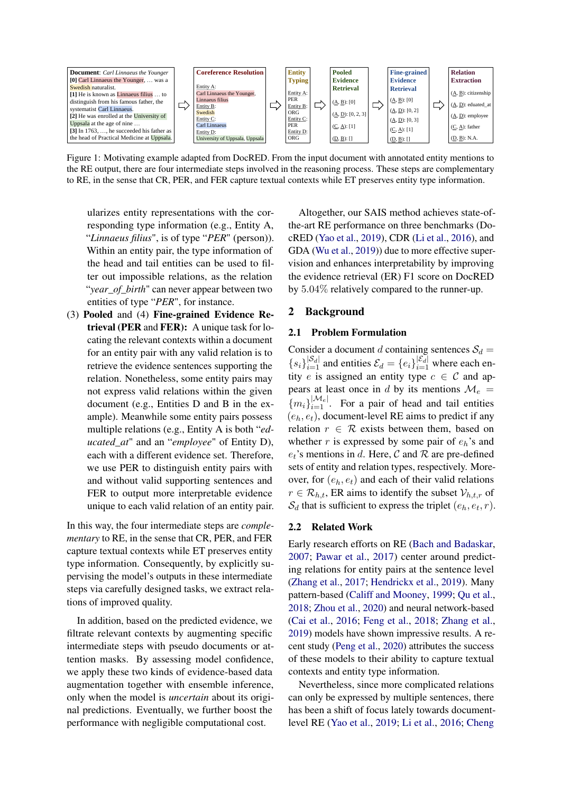<span id="page-1-0"></span>

Figure 1: Motivating example adapted from DocRED. From the input document with annotated entity mentions to the RE output, there are four intermediate steps involved in the reasoning process. These steps are complementary to RE, in the sense that CR, PER, and FER capture textual contexts while ET preserves entity type information.

ularizes entity representations with the corresponding type information (e.g., Entity A, "*Linnaeus filius*", is of type "*PER*" (person)). Within an entity pair, the type information of the head and tail entities can be used to filter out impossible relations, as the relation "*year\_of\_birth*" can never appear between two entities of type "*PER*", for instance.

(3) Pooled and (4) Fine-grained Evidence Retrieval (PER and FER): A unique task for locating the relevant contexts within a document for an entity pair with any valid relation is to retrieve the evidence sentences supporting the relation. Nonetheless, some entity pairs may not express valid relations within the given document (e.g., Entities D and B in the example). Meanwhile some entity pairs possess multiple relations (e.g., Entity A is both "*educated\_at*" and an "*employee*" of Entity D), each with a different evidence set. Therefore, we use PER to distinguish entity pairs with and without valid supporting sentences and FER to output more interpretable evidence unique to each valid relation of an entity pair.

In this way, the four intermediate steps are *complementary* to RE, in the sense that CR, PER, and FER capture textual contexts while ET preserves entity type information. Consequently, by explicitly supervising the model's outputs in these intermediate steps via carefully designed tasks, we extract relations of improved quality.

In addition, based on the predicted evidence, we filtrate relevant contexts by augmenting specific intermediate steps with pseudo documents or attention masks. By assessing model confidence, we apply these two kinds of evidence-based data augmentation together with ensemble inference, only when the model is *uncertain* about its original predictions. Eventually, we further boost the performance with negligible computational cost.

Altogether, our SAIS method achieves state-ofthe-art RE performance on three benchmarks (DocRED [\(Yao et al.,](#page-10-3) [2019\)](#page-10-3), CDR [\(Li et al.,](#page-9-2) [2016\)](#page-9-2), and GDA [\(Wu et al.,](#page-9-3) [2019\)](#page-9-3)) due to more effective supervision and enhances interpretability by improving the evidence retrieval (ER) F1 score on DocRED by 5.04% relatively compared to the runner-up.

## 2 Background

#### 2.1 Problem Formulation

Consider a document d containing sentences  $S_d$  =  ${s_i}_{i=1}^{|S_d|}$  and entities  $\mathcal{E}_d = {e_i}_{i=1}^{|{\mathcal{E}_d}|}$  where each entity e is assigned an entity type  $c \in C$  and appears at least once in d by its mentions  $\mathcal{M}_e$  =  ${m_i}_{i=1}^{|M_e|}$ . For a pair of head and tail entities  $(e_h, e_t)$ , document-level RE aims to predict if any relation  $r \in \mathcal{R}$  exists between them, based on whether r is expressed by some pair of  $e_h$ 's and  $e_t$ 's mentions in d. Here, C and R are pre-defined sets of entity and relation types, respectively. Moreover, for  $(e_h, e_t)$  and each of their valid relations  $r \in \mathcal{R}_{h,t}$ , ER aims to identify the subset  $\mathcal{V}_{h,t,r}$  of  $S_d$  that is sufficient to express the triplet  $(e_h, e_t, r)$ .

## 2.2 Related Work

Early research efforts on RE [\(Bach and Badaskar,](#page-8-0) [2007;](#page-8-0) [Pawar et al.,](#page-9-4) [2017\)](#page-9-4) center around predicting relations for entity pairs at the sentence level [\(Zhang et al.,](#page-10-0) [2017;](#page-10-0) [Hendrickx et al.,](#page-9-0) [2019\)](#page-9-0). Many pattern-based [\(Califf and Mooney,](#page-8-2) [1999;](#page-8-2) [Qu et al.,](#page-9-5) [2018;](#page-9-5) [Zhou et al.,](#page-10-2) [2020\)](#page-10-2) and neural network-based [\(Cai et al.,](#page-8-3) [2016;](#page-8-3) [Feng et al.,](#page-9-6) [2018;](#page-9-6) [Zhang et al.,](#page-10-1) [2019\)](#page-10-1) models have shown impressive results. A recent study [\(Peng et al.,](#page-9-1) [2020\)](#page-9-1) attributes the success of these models to their ability to capture textual contexts and entity type information.

Nevertheless, since more complicated relations can only be expressed by multiple sentences, there has been a shift of focus lately towards documentlevel RE [\(Yao et al.,](#page-10-3) [2019;](#page-10-3) [Li et al.,](#page-9-2) [2016;](#page-9-2) [Cheng](#page-8-1)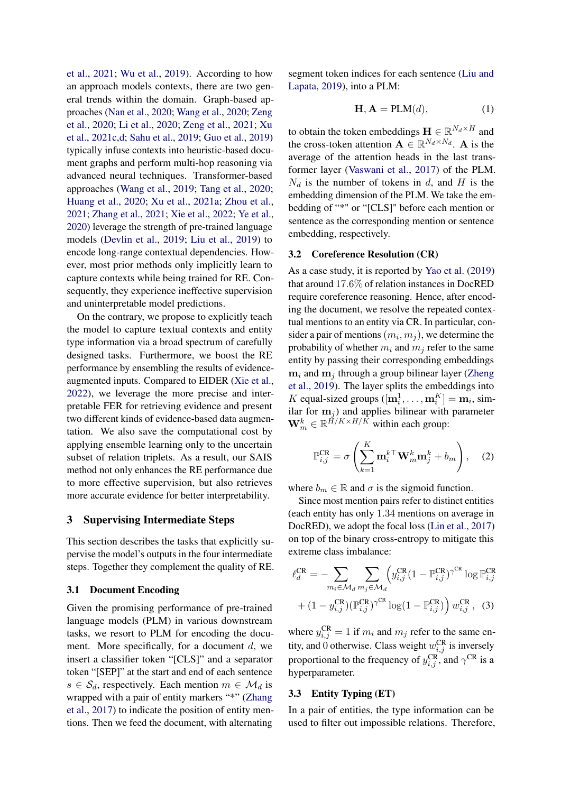[et al.,](#page-8-1) [2021;](#page-8-1) [Wu et al.,](#page-9-3) [2019\)](#page-9-3). According to how an approach models contexts, there are two general trends within the domain. Graph-based approaches [\(Nan et al.,](#page-9-7) [2020;](#page-9-7) [Wang et al.,](#page-9-8) [2020;](#page-9-8) [Zeng](#page-10-4) [et al.,](#page-10-4) [2020;](#page-10-4) [Li et al.,](#page-9-9) [2020;](#page-9-9) [Zeng et al.,](#page-10-8) [2021;](#page-10-8) [Xu](#page-10-9) [et al.,](#page-10-9) [2021c,](#page-10-9)[d;](#page-10-10) [Sahu et al.,](#page-9-10) [2019;](#page-9-10) [Guo et al.,](#page-9-11) [2019\)](#page-9-11) typically infuse contexts into heuristic-based document graphs and perform multi-hop reasoning via advanced neural techniques. Transformer-based approaches [\(Wang et al.,](#page-9-12) [2019;](#page-9-12) [Tang et al.,](#page-9-13) [2020;](#page-9-13) [Huang et al.,](#page-9-14) [2020;](#page-9-14) [Xu et al.,](#page-10-11) [2021a;](#page-10-11) [Zhou et al.,](#page-10-5) [2021;](#page-10-5) [Zhang et al.,](#page-10-12) [2021;](#page-10-12) [Xie et al.,](#page-10-13) [2022;](#page-10-13) [Ye et al.,](#page-10-14) [2020\)](#page-10-14) leverage the strength of pre-trained language models [\(Devlin et al.,](#page-8-4) [2019;](#page-8-4) [Liu et al.,](#page-9-15) [2019\)](#page-9-15) to encode long-range contextual dependencies. However, most prior methods only implicitly learn to capture contexts while being trained for RE. Consequently, they experience ineffective supervision and uninterpretable model predictions.

On the contrary, we propose to explicitly teach the model to capture textual contexts and entity type information via a broad spectrum of carefully designed tasks. Furthermore, we boost the RE performance by ensembling the results of evidenceaugmented inputs. Compared to EIDER [\(Xie et al.,](#page-10-13) [2022\)](#page-10-13), we leverage the more precise and interpretable FER for retrieving evidence and present two different kinds of evidence-based data augmentation. We also save the computational cost by applying ensemble learning only to the uncertain subset of relation triplets. As a result, our SAIS method not only enhances the RE performance due to more effective supervision, but also retrieves more accurate evidence for better interpretability.

#### <span id="page-2-2"></span>3 Supervising Intermediate Steps

This section describes the tasks that explicitly supervise the model's outputs in the four intermediate steps. Together they complement the quality of RE.

#### 3.1 Document Encoding

Given the promising performance of pre-trained language models (PLM) in various downstream tasks, we resort to PLM for encoding the document. More specifically, for a document  $d$ , we insert a classifier token "[CLS]" and a separator token "[SEP]" at the start and end of each sentence  $s \in S_d$ , respectively. Each mention  $m \in \mathcal{M}_d$  is wrapped with a pair of entity markers "\*" [\(Zhang](#page-10-0) [et al.,](#page-10-0) [2017\)](#page-10-0) to indicate the position of entity mentions. Then we feed the document, with alternating

segment token indices for each sentence [\(Liu and](#page-9-16) [Lapata,](#page-9-16) [2019\)](#page-9-16), into a PLM:

<span id="page-2-0"></span>
$$
\mathbf{H}, \mathbf{A} = \text{PLM}(d),\tag{1}
$$

to obtain the token embeddings  $\mathbf{H} \in \mathbb{R}^{N_d \times H}$  and the cross-token attention  $\mathbf{A} \in \mathbb{R}^{N_d \times N_d}$ . **A** is the average of the attention heads in the last transformer layer [\(Vaswani et al.,](#page-9-17) [2017\)](#page-9-17) of the PLM.  $N_d$  is the number of tokens in d, and H is the embedding dimension of the PLM. We take the embedding of "\*" or "[CLS]" before each mention or sentence as the corresponding mention or sentence embedding, respectively.

## <span id="page-2-1"></span>3.2 Coreference Resolution (CR)

As a case study, it is reported by [Yao et al.](#page-10-3) [\(2019\)](#page-10-3) that around 17.6% of relation instances in DocRED require coreference reasoning. Hence, after encoding the document, we resolve the repeated contextual mentions to an entity via CR. In particular, consider a pair of mentions  $(m_i, m_j)$ , we determine the probability of whether  $m_i$  and  $m_j$  refer to the same entity by passing their corresponding embeddings  $m_i$  and  $m_j$  through a group bilinear layer [\(Zheng](#page-10-15) [et al.,](#page-10-15) [2019\)](#page-10-15). The layer splits the embeddings into K equal-sized groups  $([\mathbf{m}_i^1, \dots, \mathbf{m}_i^K] = \mathbf{m}_i$ , similar for  $m_j$ ) and applies bilinear with parameter  $\mathbf{W}_m^k \in \mathbb{R}^{\tilde{H}/K \times H/\tilde{K}}$  within each group:

$$
\mathbb{P}_{i,j}^{\text{CR}} = \sigma \left( \sum_{k=1}^{K} \mathbf{m}_i^{k\top} \mathbf{W}_m^k \mathbf{m}_j^k + b_m \right), \quad (2)
$$

where  $b_m \in \mathbb{R}$  and  $\sigma$  is the sigmoid function.

Since most mention pairs refer to distinct entities (each entity has only 1.34 mentions on average in DocRED), we adopt the focal loss [\(Lin et al.,](#page-9-18) [2017\)](#page-9-18) on top of the binary cross-entropy to mitigate this extreme class imbalance:

$$
\ell_d^{\text{CR}} = -\sum_{m_i \in \mathcal{M}_d} \sum_{m_j \in \mathcal{M}_d} \left( y_{i,j}^{\text{CR}} (1 - \mathbb{P}_{i,j}^{\text{CR}})^{\gamma^{\text{CR}}} \log \mathbb{P}_{i,j}^{\text{CR}}
$$

$$
+ (1 - y_{i,j}^{\text{CR}}) (\mathbb{P}_{i,j}^{\text{CR}})^{\gamma^{\text{CR}}} \log (1 - \mathbb{P}_{i,j}^{\text{CR}}) \right) w_{i,j}^{\text{CR}}, \quad (3)
$$

where  $y_{i,j}^{\text{CR}} = 1$  if  $m_i$  and  $m_j$  refer to the same entity, and 0 otherwise. Class weight  $w_{i,j}^{\text{CR}}$  is inversely proportional to the frequency of  $y_{i,j}^{\text{CR}}$ , and  $\gamma^{\text{CR}}$  is a hyperparameter.

### 3.3 Entity Typing (ET)

In a pair of entities, the type information can be used to filter out impossible relations. Therefore,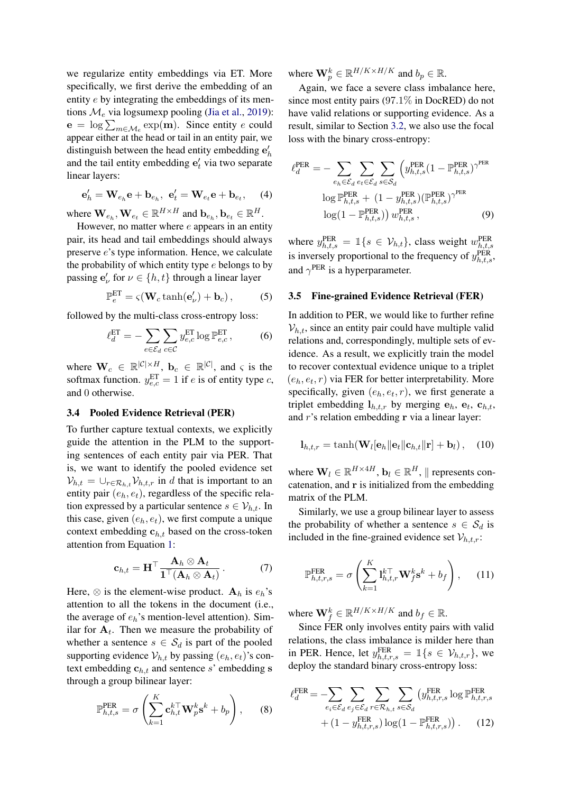we regularize entity embeddings via ET. More specifically, we first derive the embedding of an entity e by integrating the embeddings of its mentions  $\mathcal{M}_e$  via logsumexp pooling [\(Jia et al.,](#page-9-19) [2019\)](#page-9-19):  $\mathbf{e} = \log \sum_{m \in \mathcal{M}_e} \exp(\mathbf{m})$ . Since entity e could appear either at the head or tail in an entity pair, we distinguish between the head entity embedding  $e'_h$ and the tail entity embedding  $e'_t$  via two separate linear layers:

$$
\mathbf{e}'_h = \mathbf{W}_{e_h} \mathbf{e} + \mathbf{b}_{e_h}, \ \mathbf{e}'_t = \mathbf{W}_{e_t} \mathbf{e} + \mathbf{b}_{e_t}, \quad (4)
$$

where  $\mathbf{W}_{e_h}, \mathbf{W}_{e_t} \in \mathbb{R}^{H \times H}$  and  $\mathbf{b}_{e_h}, \mathbf{b}_{e_t} \in \mathbb{R}^{H}$ .

However, no matter where  $e$  appears in an entity pair, its head and tail embeddings should always preserve e's type information. Hence, we calculate the probability of which entity type  $e$  belongs to by passing  $\mathbf{e}'_{\nu}$  for  $\nu \in \{h, t\}$  through a linear layer

$$
\mathbb{P}_e^{\text{ET}} = \varsigma(\mathbf{W}_c \tanh(\mathbf{e}'_\nu) + \mathbf{b}_c),\tag{5}
$$

followed by the multi-class cross-entropy loss:

$$
\ell_d^{\text{ET}} = -\sum_{e \in \mathcal{E}_d} \sum_{c \in \mathcal{C}} y_{e,c}^{\text{ET}} \log \mathbb{P}_{e,c}^{\text{ET}},\tag{6}
$$

where  $\mathbf{W}_c \in \mathbb{R}^{|\mathcal{C}| \times H}$ ,  $\mathbf{b}_c \in \mathbb{R}^{|\mathcal{C}|}$ , and  $\varsigma$  is the softmax function.  $y_{e,c}^{\text{ET}} = 1$  if e is of entity type c, and 0 otherwise.

### 3.4 Pooled Evidence Retrieval (PER)

To further capture textual contexts, we explicitly guide the attention in the PLM to the supporting sentences of each entity pair via PER. That is, we want to identify the pooled evidence set  $V_{h,t} = \bigcup_{r \in \mathcal{R}_{h,t}} V_{h,t,r}$  in d that is important to an entity pair  $(e_h, e_t)$ , regardless of the specific relation expressed by a particular sentence  $s \in \mathcal{V}_{h,t}$ . In this case, given  $(e_h, e_t)$ , we first compute a unique context embedding  $c_{h,t}$  based on the cross-token attention from Equation [1:](#page-2-0)

$$
\mathbf{c}_{h,t} = \mathbf{H}^{\top} \frac{\mathbf{A}_h \otimes \mathbf{A}_t}{\mathbf{1}^{\top} (\mathbf{A}_h \otimes \mathbf{A}_t)}.
$$
 (7)

Here,  $\otimes$  is the element-wise product.  $A_h$  is  $e_h$ 's attention to all the tokens in the document (i.e., the average of  $e_h$ 's mention-level attention). Similar for  $A_t$ . Then we measure the probability of whether a sentence  $s \in S_d$  is part of the pooled supporting evidence  $V_{h,t}$  by passing  $(e_h, e_t)$ 's context embedding  $c_{h,t}$  and sentence s' embedding s through a group bilinear layer:

$$
\mathbb{P}_{h,t,s}^{\text{PER}} = \sigma \left( \sum_{k=1}^{K} \mathbf{c}_{h,t}^{k \top} \mathbf{W}_p^k \mathbf{s}^k + b_p \right), \qquad (8)
$$

where  $\mathbf{W}_p^k \in \mathbb{R}^{H/K \times H/K}$  and  $b_p \in \mathbb{R}$ .

Again, we face a severe class imbalance here, since most entity pairs (97.1% in DocRED) do not have valid relations or supporting evidence. As a result, similar to Section [3.2,](#page-2-1) we also use the focal loss with the binary cross-entropy:

$$
\ell_d^{\text{PER}} = -\sum_{e_h \in \mathcal{E}_d} \sum_{e_t \in \mathcal{E}_d} \sum_{s \in \mathcal{S}_d} \left( y_{h,t,s}^{\text{PER}} (1 - \mathbb{P}_{h,t,s}^{\text{PER}})^{\gamma^{\text{PER}}}\right)
$$

$$
\log \mathbb{P}_{h,t,s}^{\text{PER}} + (1 - y_{h,t,s}^{\text{PER}}) (\mathbb{P}_{h,t,s}^{\text{PER}})^{\gamma^{\text{PER}}}
$$

$$
\log(1 - \mathbb{P}_{h,t,s}^{\text{PER}})) w_{h,t,s}^{\text{PER}}, \qquad (9)
$$

where  $y_{h,t,s}^{\text{PER}} = \mathbb{1}\{s \in \mathcal{V}_{h,t}\}\$ , class weight  $w_{h,t,s}^{\text{PER}}$ is inversely proportional to the frequency of  $y_{h,t,s}^{\text{PER}}$ , and  $\gamma$ <sup>PER</sup> is a hyperparameter.

#### <span id="page-3-0"></span>3.5 Fine-grained Evidence Retrieval (FER)

In addition to PER, we would like to further refine  $V_{h,t}$ , since an entity pair could have multiple valid relations and, correspondingly, multiple sets of evidence. As a result, we explicitly train the model to recover contextual evidence unique to a triplet  $(e_h, e_t, r)$  via FER for better interpretability. More specifically, given  $(e_h, e_t, r)$ , we first generate a triplet embedding  $\mathbf{l}_{h,t,r}$  by merging  $\mathbf{e}_h$ ,  $\mathbf{e}_t$ ,  $\mathbf{c}_{h,t}$ , and  $r$ 's relation embedding  $r$  via a linear layer:

$$
\mathbf{l}_{h,t,r} = \tanh(\mathbf{W}_l[\mathbf{e}_h \|\mathbf{e}_t\|\mathbf{c}_{h,t}\|\mathbf{r}] + \mathbf{b}_l), \quad (10)
$$

where  $\mathbf{W}_l \in \mathbb{R}^{H \times 4H}$ ,  $\mathbf{b}_l \in \mathbb{R}^H$ , || represents concatenation, and r is initialized from the embedding matrix of the PLM.

Similarly, we use a group bilinear layer to assess the probability of whether a sentence  $s \in S_d$  is included in the fine-grained evidence set  $V_{h,t,r}$ :

$$
\mathbb{P}_{h,t,r,s}^{\text{FER}} = \sigma \left( \sum_{k=1}^{K} \mathbf{l}_{h,t,r}^{k \top} \mathbf{W}_f^k \mathbf{s}^k + b_f \right), \quad (11)
$$

where  $\mathbf{W}_f^k \in \mathbb{R}^{H/K \times H/K}$  and  $b_f \in \mathbb{R}$ .

Since FER only involves entity pairs with valid relations, the class imbalance is milder here than in PER. Hence, let  $y_{h,t,r,s}^{\text{FER}} = \mathbb{1}\lbrace s \in \mathcal{V}_{h,t,r} \rbrace$ , we deploy the standard binary cross-entropy loss:

$$
\ell_d^{\text{FER}} = -\sum_{e_i \in \mathcal{E}_d} \sum_{e_j \in \mathcal{E}_d} \sum_{r \in \mathcal{R}_{h,t}} \sum_{s \in \mathcal{S}_d} (y_{h,t,r,s}^{\text{FER}} \log \mathbb{P}_{h,t,r,s}^{\text{FER}} + (1 - y_{h,t,r,s}^{\text{FER}}) \log(1 - \mathbb{P}_{h,t,r,s}^{\text{FER}})).
$$
 (12)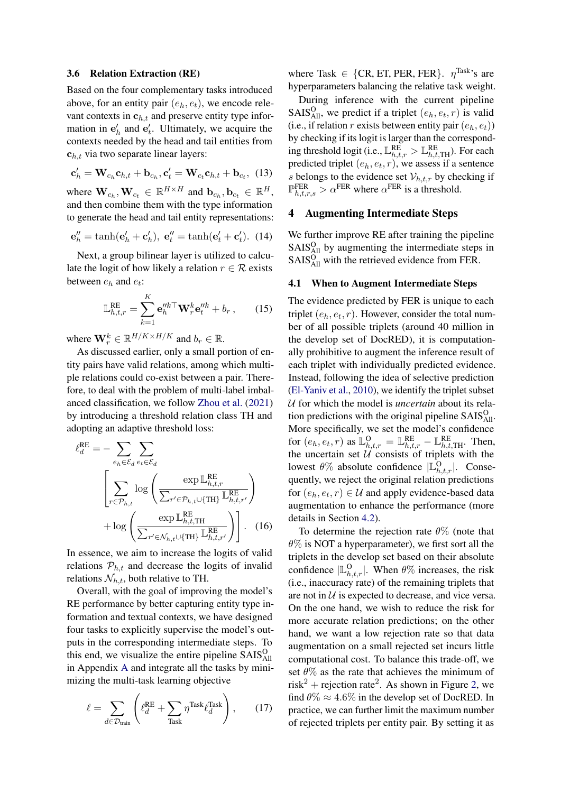#### <span id="page-4-1"></span>3.6 Relation Extraction (RE)

Based on the four complementary tasks introduced above, for an entity pair  $(e_h, e_t)$ , we encode relevant contexts in  $c_{h,t}$  and preserve entity type information in  $e'_{h}$  and  $e'_{t}$ . Ultimately, we acquire the contexts needed by the head and tail entities from  $c_{h,t}$  via two separate linear layers:

$$
\mathbf{c}'_h = \mathbf{W}_{c_h} \mathbf{c}_{h,t} + \mathbf{b}_{c_h}, \mathbf{c}'_t = \mathbf{W}_{c_t} \mathbf{c}_{h,t} + \mathbf{b}_{c_t}, \tag{13}
$$

where  $\mathbf{W}_{c_h}, \mathbf{W}_{c_t} \in \mathbb{R}^{H \times H}$  and  $\mathbf{b}_{c_h}, \mathbf{b}_{c_t} \in \mathbb{R}^{H}$ , and then combine them with the type information to generate the head and tail entity representations:

$$
\mathbf{e}_{h}^{\prime\prime} = \tanh(\mathbf{e}_{h}^{\prime} + \mathbf{c}_{h}^{\prime}), \ \mathbf{e}_{t}^{\prime\prime} = \tanh(\mathbf{e}_{t}^{\prime} + \mathbf{c}_{t}^{\prime}). \tag{14}
$$

Next, a group bilinear layer is utilized to calculate the logit of how likely a relation  $r \in \mathcal{R}$  exists between  $e_h$  and  $e_t$ :

$$
\mathbb{L}_{h,t,r}^{\text{RE}} = \sum_{k=1}^{K} \mathbf{e}_{h}^{\prime\prime k \top} \mathbf{W}_{r}^{k} \mathbf{e}_{t}^{\prime\prime k} + b_{r}, \qquad (15)
$$

where  $\mathbf{W}_r^k \in \mathbb{R}^{H/K \times H/K}$  and  $b_r \in \mathbb{R}$ .

As discussed earlier, only a small portion of entity pairs have valid relations, among which multiple relations could co-exist between a pair. Therefore, to deal with the problem of multi-label imbalanced classification, we follow [Zhou et al.](#page-10-5) [\(2021\)](#page-10-5) by introducing a threshold relation class TH and adopting an adaptive threshold loss:

$$
\ell_d^{\text{RE}} = -\sum_{e_h \in \mathcal{E}_d} \sum_{e_t \in \mathcal{E}_d} \exp \mathbb{L}_{h,t,r}^{\text{RE}} \left( \frac{\exp \mathbb{L}_{h,t,r}^{\text{RE}}}{\sum_{r' \in \mathcal{P}_{h,t} \cup \{ \text{TH} \}} \mathbb{L}_{h,t,r'}^{\text{RE}}} \right) + \log \left( \frac{\exp \mathbb{L}_{h,t,\text{TH}}^{\text{RE}}}{\sum_{r' \in \mathcal{N}_{h,t} \cup \{ \text{TH} \}} \mathbb{L}_{h,t,r'}^{\text{RE}}} \right) \right). (16)
$$

In essence, we aim to increase the logits of valid relations  $P_{h,t}$  and decrease the logits of invalid relations  $\mathcal{N}_{h,t}$ , both relative to TH.

Overall, with the goal of improving the model's RE performance by better capturing entity type information and textual contexts, we have designed four tasks to explicitly supervise the model's outputs in the corresponding intermediate steps. To this end, we visualize the entire pipeline  $S A I S<sub>All</sub><sup>O</sup>$ in Appendix [A](#page-11-0) and integrate all the tasks by minimizing the multi-task learning objective

$$
\ell = \sum_{d \in \mathcal{D}_{\text{train}}} \left( \ell_d^{\text{RE}} + \sum_{\text{Task}} \eta^{\text{Task}} \ell_d^{\text{Task}} \right), \qquad (17)
$$

where Task  $\in \{CR, ET, PER, FER\}$ .  $\eta^{Task}$ 's are hyperparameters balancing the relative task weight.

During inference with the current pipeline SAIS $_{\text{All}}^{\text{O}}$ , we predict if a triplet  $(e_h, e_t, r)$  is valid (i.e., if relation r exists between entity pair  $(e_h, e_t)$ ) by checking if its logit is larger than the corresponding threshold logit (i.e.,  $\mathbb{L}_{h,t,r}^{\text{RE}} > \mathbb{L}_{h,t,\text{TH}}^{\text{RE}}$ ). For each predicted triplet  $(e_h, e_t, r)$ , we assess if a sentence s belongs to the evidence set  $\mathcal{V}_{h,t,r}$  by checking if  $\mathbb{P}_{h,t,r,s}^{FER} > \alpha^{FER}$  where  $\alpha^{FER}$  is a threshold.

## <span id="page-4-0"></span>4 Augmenting Intermediate Steps

We further improve RE after training the pipeline  $S A I S<sub>All</sub><sup>O</sup>$  by augmenting the intermediate steps in  $S A I S<sub>All</sub><sup>O</sup>$  with the retrieved evidence from FER.

### <span id="page-4-2"></span>4.1 When to Augment Intermediate Steps

The evidence predicted by FER is unique to each triplet  $(e_h, e_t, r)$ . However, consider the total number of all possible triplets (around 40 million in the develop set of DocRED), it is computationally prohibitive to augment the inference result of each triplet with individually predicted evidence. Instead, following the idea of selective prediction [\(El-Yaniv et al.,](#page-9-20) [2010\)](#page-9-20), we identify the triplet subset U for which the model is *uncertain* about its relation predictions with the original pipeline  $S A I S_{AII}^O$ . More specifically, we set the model's confidence for  $(e_h, e_t, r)$  as  $\mathbb{L}_{h,t,r}^{\mathsf{O}} = \mathbb{L}_{h,t,r}^{\mathsf{RE}} - \mathbb{L}_{h,t,\mathsf{TH}}^{\mathsf{RE}}$ . Then, the uncertain set  $\mathcal{U}$  consists of triplets with the lowest  $\theta\%$  absolute confidence  $|\mathbb{L}_{h,t,r}^{\Omega}|$ . Consequently, we reject the original relation predictions for  $(e_h, e_t, r) \in \mathcal{U}$  and apply evidence-based data augmentation to enhance the performance (more details in Section [4.2\)](#page-5-0).

To determine the rejection rate  $\theta\%$  (note that  $\theta\%$  is NOT a hyperparameter), we first sort all the triplets in the develop set based on their absolute confidence  $|\mathbb{L}_{h,t,r}^{\Omega}|$ . When  $\theta\%$  increases, the risk (i.e., inaccuracy rate) of the remaining triplets that are not in  $U$  is expected to decrease, and vice versa. On the one hand, we wish to reduce the risk for more accurate relation predictions; on the other hand, we want a low rejection rate so that data augmentation on a small rejected set incurs little computational cost. To balance this trade-off, we set  $\theta\%$  as the rate that achieves the minimum of risk<sup>2</sup> + rejection rate<sup>2</sup>. As shown in Figure [2,](#page-5-1) we find  $\theta\% \approx 4.6\%$  in the develop set of DocRED. In practice, we can further limit the maximum number of rejected triplets per entity pair. By setting it as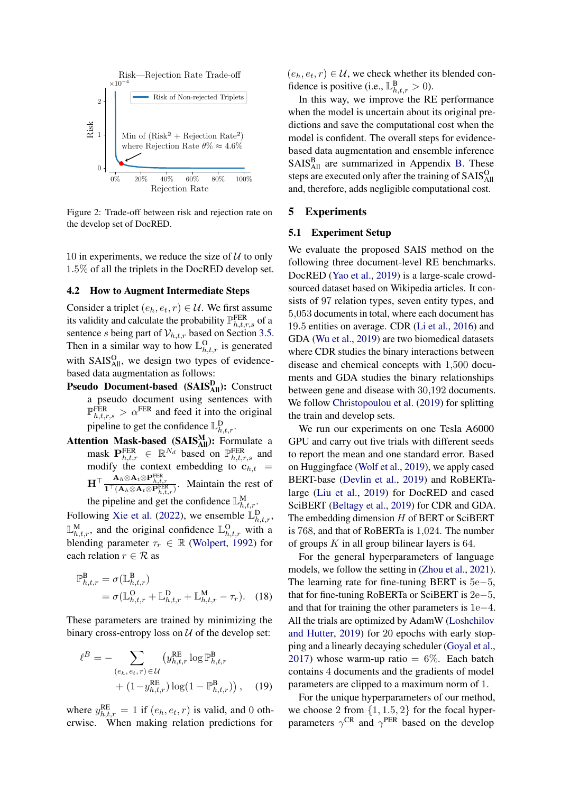<span id="page-5-1"></span>

Figure 2: Trade-off between risk and rejection rate on the develop set of DocRED.

10 in experiments, we reduce the size of  $U$  to only 1.5% of all the triplets in the DocRED develop set.

#### <span id="page-5-0"></span>4.2 How to Augment Intermediate Steps

Consider a triplet  $(e_h, e_t, r) \in \mathcal{U}$ . We first assume its validity and calculate the probability  $\mathbb{P}_{h,t,r,s}^{FER}$  of a sentence s being part of  $V_{h,t,r}$  based on Section [3.5.](#page-3-0) Then in a similar way to how  $\mathbb{L}_{h,t,r}^{\Omega}$  is generated with  $SAIS<sub>All</sub><sup>O</sup>$ , we design two types of evidencebased data augmentation as follows:

- Pseudo Document-based (SAIS<sup>D</sup><sub>All</sub>): Construct a pseudo document using sentences with  $\mathbb{P}_{h,t,r,s}^{\text{FER}} > \alpha^{\text{FER}}$  and feed it into the original pipeline to get the confidence  $\mathbb{L}_{h,t,r}^{\text{D}}$ .
- Attention Mask-based  $(SAIS_{All}^M)$ : Formulate a mask  $\mathbf{P}_{h,t,r}^{\text{FER}} \in \mathbb{R}^{N_d}$  based on  $\mathbb{P}_{h,t,r,s}^{\text{FER}}$  and modify the context embedding to  $c_{h,t}$  =  $H^{\top} \frac{A_h \otimes A_t \otimes P_{h,t,r}^{\text{FER}}}{\mathbf{1}^{\top} (A_h \otimes A_t \otimes P_{h,t,r}^{\text{FER}})}$ . Maintain the rest of

the pipeline and get the confidence  $\mathbb{L}_{h,t,r}^M$ .

Following [Xie et al.](#page-10-13) [\(2022\)](#page-10-13), we ensemble  $\mathbb{L}_{h,t,r}^{\text{D}}$ ,  $\mathbb{L}_{h,t,r}^{\mathbf{M}}$ , and the original confidence  $\mathbb{L}_{h,t,r}^{\mathbf{O}}$  with a blending parameter  $\tau_r \in \mathbb{R}$  [\(Wolpert,](#page-9-21) [1992\)](#page-9-21) for each relation  $r \in \mathcal{R}$  as

$$
\mathbb{P}_{h,t,r}^{\mathbf{B}} = \sigma(\mathbb{L}_{h,t,r}^{\mathbf{B}})
$$
  
=  $\sigma(\mathbb{L}_{h,t,r}^{\mathbf{O}} + \mathbb{L}_{h,t,r}^{\mathbf{D}} + \mathbb{L}_{h,t,r}^{\mathbf{M}} - \tau_r).$  (18)

These parameters are trained by minimizing the binary cross-entropy loss on  $U$  of the develop set:

$$
\ell^{B} = - \sum_{(e_h, e_t, r) \in \mathcal{U}} (y_{h,t,r}^{RE} \log \mathbb{P}_{h,t,r}^{B} + (1 - y_{h,t,r}^{RE}) \log(1 - \mathbb{P}_{h,t,r}^{B})), \quad (19)
$$

where  $y_{h,t,r}^{RE} = 1$  if  $(e_h, e_t, r)$  is valid, and 0 otherwise. When making relation predictions for

 $(e_h, e_t, r) \in \mathcal{U}$ , we check whether its blended confidence is positive (i.e.,  $\mathbb{L}_{h,t,r}^{\mathbf{B}} > 0$ ).

In this way, we improve the RE performance when the model is uncertain about its original predictions and save the computational cost when the model is confident. The overall steps for evidencebased data augmentation and ensemble inference SAIS<sup>B</sup><sub>All</sub> are summarized in Appendix [B.](#page-12-0) These steps are executed only after the training of SAIS<sup>O</sup><sub>All</sub> and, therefore, adds negligible computational cost.

#### <span id="page-5-2"></span>5 Experiments

### 5.1 Experiment Setup

We evaluate the proposed SAIS method on the following three document-level RE benchmarks. DocRED [\(Yao et al.,](#page-10-3) [2019\)](#page-10-3) is a large-scale crowdsourced dataset based on Wikipedia articles. It consists of 97 relation types, seven entity types, and 5,053 documents in total, where each document has 19.5 entities on average. CDR [\(Li et al.,](#page-9-2) [2016\)](#page-9-2) and GDA [\(Wu et al.,](#page-9-3) [2019\)](#page-9-3) are two biomedical datasets where CDR studies the binary interactions between disease and chemical concepts with 1,500 documents and GDA studies the binary relationships between gene and disease with 30,192 documents. We follow [Christopoulou et al.](#page-8-5) [\(2019\)](#page-8-5) for splitting the train and develop sets.

We run our experiments on one Tesla A6000 GPU and carry out five trials with different seeds to report the mean and one standard error. Based on Huggingface [\(Wolf et al.,](#page-9-22) [2019\)](#page-9-22), we apply cased BERT-base [\(Devlin et al.,](#page-8-4) [2019\)](#page-8-4) and RoBERTalarge [\(Liu et al.,](#page-9-15) [2019\)](#page-9-15) for DocRED and cased SciBERT [\(Beltagy et al.,](#page-8-6) [2019\)](#page-8-6) for CDR and GDA. The embedding dimension  $H$  of BERT or SciBERT is 768, and that of RoBERTa is 1,024. The number of groups  $K$  in all group bilinear layers is 64.

For the general hyperparameters of language models, we follow the setting in [\(Zhou et al.,](#page-10-5) [2021\)](#page-10-5). The learning rate for fine-tuning BERT is 5e−5, that for fine-tuning RoBERTa or SciBERT is 2e−5, and that for training the other parameters is 1e−4. All the trials are optimized by AdamW [\(Loshchilov](#page-9-23) [and Hutter,](#page-9-23) [2019\)](#page-9-23) for 20 epochs with early stopping and a linearly decaying scheduler [\(Goyal et al.,](#page-9-24) [2017\)](#page-9-24) whose warm-up ratio  $= 6\%$ . Each batch contains 4 documents and the gradients of model parameters are clipped to a maximum norm of 1.

For the unique hyperparameters of our method, we choose 2 from  $\{1, 1.5, 2\}$  for the focal hyperparameters  $\gamma^{\text{CR}}$  and  $\gamma^{\text{PER}}$  based on the develop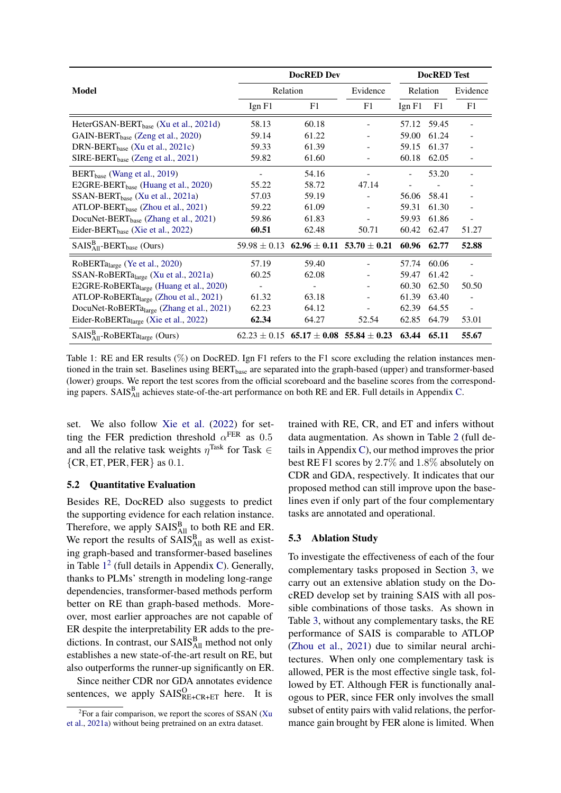<span id="page-6-0"></span>

|                                                       |                | <b>DocRED</b> Test                                                 |          |             |       |                          |
|-------------------------------------------------------|----------------|--------------------------------------------------------------------|----------|-------------|-------|--------------------------|
| Model                                                 |                | Relation                                                           | Evidence | Relation    |       | Evidence                 |
|                                                       | Ign F1         | F1                                                                 | F1       | $I$ gn $F1$ | F1    | F1                       |
| HeterGSAN-BERT <sub>hase</sub> (Xu et al., 2021d)     | 58.13          | 60.18                                                              |          | 57.12       | 59.45 | $\overline{a}$           |
| $GAIN-BERT_{base}$ (Zeng et al., 2020)                | 59.14          | 61.22                                                              |          | 59.00       | 61.24 | $\overline{\phantom{0}}$ |
| DRN-BERT <sub>base</sub> (Xu et al., 2021c)           | 59.33          | 61.39                                                              |          | 59.15       | 61.37 | $\overline{\phantom{0}}$ |
| $SIRE-BERT_{base}$ (Zeng et al., 2021)                | 59.82          | 61.60                                                              | ÷.       | 60.18       | 62.05 | $\blacksquare$           |
| $BERT_{base}$ (Wang et al., 2019)                     |                | 54.16                                                              |          |             | 53.20 |                          |
| E2GRE-BERT <sub>hase</sub> (Huang et al., 2020)       | 55.22          | 58.72                                                              | 47.14    |             |       |                          |
| $SSAN-BERT_{base}$ (Xu et al., 2021a)                 | 57.03          | 59.19                                                              |          | 56.06       | 58.41 |                          |
| $ATLOP-BERTbase$ (Zhou et al., 2021)                  | 59.22          | 61.09                                                              |          | 59.31       | 61.30 |                          |
| DocuNet-BERT <sub>hase</sub> (Zhang et al., 2021)     | 59.86          | 61.83                                                              |          | 59.93       | 61.86 |                          |
| Eider-BERT <sub>base</sub> (Xie et al., 2022)         | 60.51          | 62.48                                                              | 50.71    | 60.42       | 62.47 | 51.27                    |
| $SAISA11B-BERTbase (Ours)$                            |                | $59.98 \pm 0.13$ 62.96 $\pm$ 0.11 53.70 $\pm$ 0.21 60.96           |          |             | 62.77 | 52.88                    |
| RoBERTalarge (Ye et al., 2020)                        | 57.19          | 59.40                                                              |          | 57.74       | 60.06 |                          |
| SSAN-RoBERTa <sub>large</sub> (Xu et al., 2021a)      | 60.25          | 62.08                                                              |          | 59.47       | 61.42 | $\blacksquare$           |
| E2GRE-RoBERTalarge (Huang et al., 2020)               | $\blacksquare$ |                                                                    |          | 60.30       | 62.50 | 50.50                    |
| ATLOP-RoBERTa <sub>large</sub> (Zhou et al., 2021)    | 61.32          | 63.18                                                              |          | 61.39       | 63.40 | $\overline{\phantom{0}}$ |
| DocuNet-RoBERTa <sub>large</sub> (Zhang et al., 2021) | 62.23          | 64.12                                                              |          | 62.39       | 64.55 | $\blacksquare$           |
| Eider-RoBERTalarge (Xie et al., 2022)                 | 62.34          | 64.27                                                              | 52.54    | 62.85       | 64.79 | 53.01                    |
| $SAlSA11B-ROBERTalarge (Ours)$                        |                | $62.23 \pm 0.15$ $65.17 \pm 0.08$ $55.84 \pm 0.23$ $63.44$ $65.11$ |          |             |       | 55.67                    |

Table 1: RE and ER results (%) on DocRED. Ign F1 refers to the F1 score excluding the relation instances mentioned in the train set. Baselines using  $BERT_{base}$  are separated into the graph-based (upper) and transformer-based (lower) groups. We report the test scores from the official scoreboard and the baseline scores from the correspond-ing papers. SAIS<sup>B</sup><sub>All</sub> achieves state-of-the-art performance on both RE and ER. Full details in Appendix [C.](#page-13-0)

set. We also follow [Xie et al.](#page-10-13) [\(2022\)](#page-10-13) for setting the FER prediction threshold  $\alpha$ <sup>FER</sup> as 0.5 and all the relative task weights  $\eta^{\text{Task}}$  for Task  $\in$  ${CR, ET, PER, FER}$  as 0.1.

### 5.2 Quantitative Evaluation

Besides RE, DocRED also suggests to predict the supporting evidence for each relation instance. Therefore, we apply  $S A I S<sub>All</sub><sup>B</sup>$  to both RE and ER. We report the results of  $SAIS<sub>All</sub><sup>B</sup>$  as well as existing graph-based and transformer-based baselines in Table  $1<sup>2</sup>$  $1<sup>2</sup>$  $1<sup>2</sup>$  $1<sup>2</sup>$  (full details in Appendix [C\)](#page-13-0). Generally, thanks to PLMs' strength in modeling long-range dependencies, transformer-based methods perform better on RE than graph-based methods. Moreover, most earlier approaches are not capable of ER despite the interpretability ER adds to the predictions. In contrast, our  $S A I S_{\text{All}}^{\text{B}}$  method not only establishes a new state-of-the-art result on RE, but also outperforms the runner-up significantly on ER.

Since neither CDR nor GDA annotates evidence sentences, we apply  $SAIS_{RE+CR+ET}^{O}$  here. It is

trained with RE, CR, and ET and infers without data augmentation. As shown in Table [2](#page-7-0) (full details in Appendix [C\)](#page-13-0), our method improves the prior best RE F1 scores by 2.7% and 1.8% absolutely on CDR and GDA, respectively. It indicates that our proposed method can still improve upon the baselines even if only part of the four complementary tasks are annotated and operational.

### 5.3 Ablation Study

To investigate the effectiveness of each of the four complementary tasks proposed in Section [3,](#page-2-2) we carry out an extensive ablation study on the DocRED develop set by training SAIS with all possible combinations of those tasks. As shown in Table [3,](#page-7-1) without any complementary tasks, the RE performance of SAIS is comparable to ATLOP [\(Zhou et al.,](#page-10-5) [2021\)](#page-10-5) due to similar neural architectures. When only one complementary task is allowed, PER is the most effective single task, followed by ET. Although FER is functionally analogous to PER, since FER only involves the small subset of entity pairs with valid relations, the performance gain brought by FER alone is limited. When

<span id="page-6-1"></span><sup>&</sup>lt;sup>2</sup> For a fair comparison, we report the scores of SSAN [\(Xu](#page-10-11) [et al.,](#page-10-11) [2021a\)](#page-10-11) without being pretrained on an extra dataset.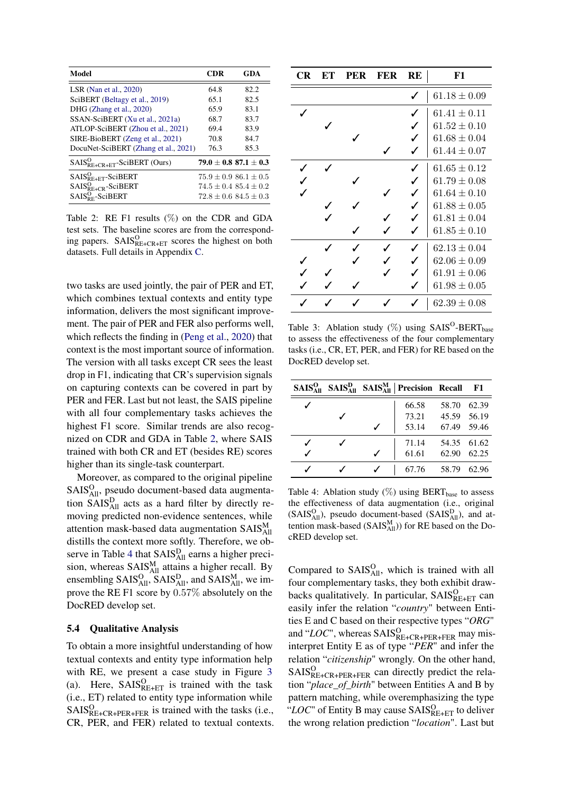<span id="page-7-0"></span>

| Model                                 | <b>CDR</b> | GDA                           |
|---------------------------------------|------------|-------------------------------|
| LSR (Nan et al., $2020$ )             | 64.8       | 82.2                          |
| SciBERT (Beltagy et al., 2019)        | 65.1       | 82.5                          |
| DHG (Zhang et al., 2020)              | 65.9       | 83.1                          |
| SSAN-SciBERT (Xu et al., 2021a)       | 68.7       | 83.7                          |
| ATLOP-SciBERT (Zhou et al., 2021)     | 69.4       | 83.9                          |
| SIRE-BioBERT (Zeng et al., 2021)      | 70.8       | 84.7                          |
| DocuNet-SciBERT (Zhang et al., 2021)  | 76.3       | 85.3                          |
| $SAIS_{RE+CR+ET}^{O}$ -SciBERT (Ours) |            | $79.0 \pm 0.8$ 87.1 $\pm$ 0.3 |
| $SAIS^O_{RE+ET}$ -SciBERT             |            | $75.9 \pm 0.986.1 \pm 0.5$    |
| $SAIS_{R E+CR}^{O}$ -SciBERT          |            | $74.5 + 0.4$ $85.4 + 0.2$     |
| $SAIS_{\rm{PE}}^{\rm{O}}$ -SciBERT    |            | $72.8 + 0.6$ $84.5 + 0.3$     |

Table 2: RE F1 results (%) on the CDR and GDA test sets. The baseline scores are from the corresponding papers.  $SAIS_{RE+CR+ET}^O$  scores the highest on both datasets. Full details in Appendix [C.](#page-13-0)

two tasks are used jointly, the pair of PER and ET, which combines textual contexts and entity type information, delivers the most significant improvement. The pair of PER and FER also performs well, which reflects the finding in [\(Peng et al.,](#page-9-1) [2020\)](#page-9-1) that context is the most important source of information. The version with all tasks except CR sees the least drop in F1, indicating that CR's supervision signals on capturing contexts can be covered in part by PER and FER. Last but not least, the SAIS pipeline with all four complementary tasks achieves the highest F1 score. Similar trends are also recognized on CDR and GDA in Table [2,](#page-7-0) where SAIS trained with both CR and ET (besides RE) scores higher than its single-task counterpart.

Moreover, as compared to the original pipeline SAIS<sup>O</sup><sub>All</sub>, pseudo document-based data augmentation  $SAIS<sub>All</sub><sup>D</sup>$  acts as a hard filter by directly removing predicted non-evidence sentences, while attention mask-based data augmentation  $S A I S_{All}^{M}$ distills the context more softly. Therefore, we ob-serve in Table [4](#page-7-2) that SAIS<sup>D</sup><sub>All</sub> earns a higher precision, whereas  $S A I S_{\text{All}}^{\text{M}}$  attains a higher recall. By ensembling  $SAIS_{All}^O$ ,  $SAIS_{All}^D$ , and  $SAIS_{All}^M$ , we improve the RE F1 score by 0.57% absolutely on the DocRED develop set.

#### 5.4 Qualitative Analysis

To obtain a more insightful understanding of how textual contexts and entity type information help with RE, we present a case study in Figure [3](#page-8-7) (a). Here,  $SAIS_{RE+ET}^{O}$  is trained with the task (i.e., ET) related to entity type information while  $SALS_{RE+CR+PER+FER}^{O}$  is trained with the tasks (i.e., CR, PER, and FER) related to textual contexts.

<span id="page-7-1"></span>

| CR | EТ | PER | FER | RE           | F1               |
|----|----|-----|-----|--------------|------------------|
|    |    |     |     |              | $61.18 \pm 0.09$ |
|    |    |     |     |              | $61.41 \pm 0.11$ |
|    |    |     |     | ✓            | $61.52 \pm 0.10$ |
|    |    |     |     | ✓            | $61.68 \pm 0.04$ |
|    |    |     |     |              | $61.44 \pm 0.07$ |
|    |    |     |     | ✓            | $61.65 \pm 0.12$ |
|    |    |     |     | ✓            | $61.79 \pm 0.08$ |
|    |    |     |     | ✓            | $61.64 \pm 0.10$ |
|    |    |     |     | ✓            | $61.88 \pm 0.05$ |
|    |    |     |     | $\checkmark$ | $61.81 \pm 0.04$ |
|    |    |     |     |              | $61.85 \pm 0.10$ |
|    |    |     |     |              | $62.13 \pm 0.04$ |
|    |    |     |     |              | $62.06 \pm 0.09$ |
|    |    |     |     |              | $61.91 \pm 0.06$ |
|    |    |     |     |              | $61.98 \pm 0.05$ |
|    |    |     |     |              | $62.39 \pm 0.08$ |

Table 3: Ablation study  $(\%)$  using SAIS<sup>O</sup>-BERT<sub>base</sub> to assess the effectiveness of the four complementary tasks (i.e., CR, ET, PER, and FER) for RE based on the DocRED develop set.

<span id="page-7-2"></span>

|  | $S A I SAllO$ $S A I SAllD$ $S A I SAllM$ Precision Recall |             | - F1  |
|--|------------------------------------------------------------|-------------|-------|
|  | 66.58                                                      | 58.70       | 62.39 |
|  | 73.21                                                      | 45.59 56.19 |       |
|  | 53.14                                                      | 67.49 59.46 |       |
|  | 71.14                                                      | 54.35 61.62 |       |
|  | 61.61                                                      | 62.90       | 62.25 |
|  | 67.76                                                      | 58.79       | 62.96 |

Table 4: Ablation study  $(\%)$  using BERT<sub>base</sub> to assess the effectiveness of data augmentation (i.e., original  $(SAIS<sub>All</sub><sup>O</sup>)$ , pseudo document-based  $(SAIS<sub>All</sub><sup>D</sup>)$ , and attention mask-based  $(SAIS_{All}^M)$ ) for RE based on the DocRED develop set.

Compared to  $S A I S<sub>All</sub><sup>O</sup>$ , which is trained with all four complementary tasks, they both exhibit drawbacks qualitatively. In particular,  $S A I S_{RE+ET}^{O}$  can easily infer the relation "*country*" between Entities E and C based on their respective types "*ORG*" and "LOC", whereas SAIS<sup>O</sup>RE+CR+PER+FER may misinterpret Entity E as of type "*PER*" and infer the relation "*citizenship*" wrongly. On the other hand,  $SALS_{RE+CR+PER+FER}^{O}$  can directly predict the relation "*place\_of\_birth*" between Entities A and B by pattern matching, while overemphasizing the type " $LOC$ " of Entity B may cause  $SAIS^O_{RE+ET}$  to deliver the wrong relation prediction "*location*". Last but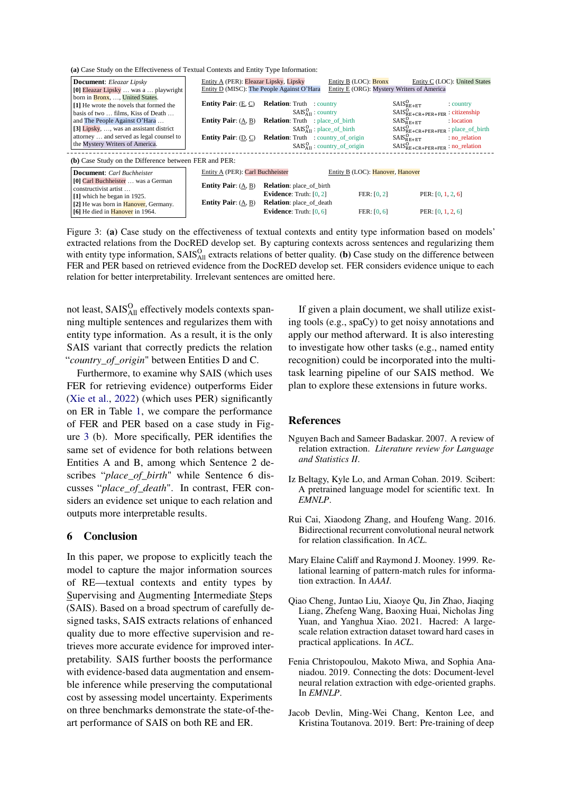<span id="page-8-7"></span>

|  |  | (a) Case Study on the Effectiveness of Textual Contexts and Entity Type Information: |  |  |  |  |
|--|--|--------------------------------------------------------------------------------------|--|--|--|--|
|--|--|--------------------------------------------------------------------------------------|--|--|--|--|

| <b>Document:</b> Eleazar Lipsky                             | Entity A (PER): Eleazar Lipsky, Lipsky     |                                            | Entity B (LOC): <b>Bronx</b>               | Entity C (LOC): United States             |
|-------------------------------------------------------------|--------------------------------------------|--------------------------------------------|--------------------------------------------|-------------------------------------------|
| [0] Eleazar Lipsky  was a  playwright                       | Entity D (MISC): The People Against O'Hara |                                            | Entity E (ORG): Mystery Writers of America |                                           |
| born in Bronx, , United States.                             |                                            |                                            |                                            |                                           |
| [1] He wrote the novels that formed the                     | <b>Entity Pair:</b> $(E, C)$               | <b>Relation:</b> Truth : country           |                                            | $SAIS_{RF+FT}^{O}$<br>: country           |
| basis of two  films, Kiss of Death                          |                                            | $SAISAllO$ : country                       |                                            | $SAIS_{RE+CR+PER+FER}^{O}$ : citizenship  |
| and The People Against O'Hara                               | <b>Entity Pair:</b> $(A, B)$               | <b>Relation:</b> Truth : place of birth    |                                            | $SAIS_{RE+ET}^{O}$<br>: location          |
| [3] Lipsky, $\dots$ , was an assistant district             |                                            | $SAISAllO$ : place_of_birth                |                                            | $SAIS^O_{RE+CR+PER+FER}$ : place_of_birth |
| attorney  and served as legal counsel to                    | <b>Entity Pair:</b> $(D, C)$               | <b>Relation:</b> Truth : country_of_origin |                                            | $SAIS_{RF+FT}^{O}$<br>no relation         |
| the Mystery Writers of America.                             |                                            |                                            | $SAISAllO$ : country_of_origin             | $SAIS^O_{RE+CR+PER+FER}$ : no_relation    |
| (b) Case Study on the Difference between FER and PER:       |                                            |                                            |                                            |                                           |
| <b>Document:</b> Carl Buchheister                           | Entity A (PER): Carl Buchheister           |                                            | Entity B (LOC): Hanover, Hanover           |                                           |
| [0] Carl Buchheister  was a German<br>constructivist artist | <b>Entity Pair:</b> $(A, B)$               | <b>Relation</b> : place_of_birth           |                                            |                                           |
| [1] which he began in 1925.                                 |                                            | <b>Evidence:</b> Truth: $[0, 2]$           | FER: [0, 2]                                | PER: $[0, 1, 2, 6]$                       |
| [2] He was born in <b>Hanover</b> , Germany.                | <b>Entity Pair:</b> $(A, B)$               | <b>Relation:</b> place_of_death            |                                            |                                           |
| [6] He died in <b>Hanover</b> in 1964.                      |                                            | Evidence: Truth: $[0, 6]$                  | FER: [0, 6]                                | PER: $[0, 1, 2, 6]$                       |

Figure 3: (a) Case study on the effectiveness of textual contexts and entity type information based on models' extracted relations from the DocRED develop set. By capturing contexts across sentences and regularizing them with entity type information,  $S A I S<sub>All</sub><sup>O</sup>$  extracts relations of better quality. (b) Case study on the difference between FER and PER based on retrieved evidence from the DocRED develop set. FER considers evidence unique to each relation for better interpretability. Irrelevant sentences are omitted here.

not least, SAIS<sup>O</sup><sub>All</sub> effectively models contexts spanning multiple sentences and regularizes them with entity type information. As a result, it is the only SAIS variant that correctly predicts the relation "*country\_of\_origin*" between Entities D and C.

Furthermore, to examine why SAIS (which uses FER for retrieving evidence) outperforms Eider [\(Xie et al.,](#page-10-13) [2022\)](#page-10-13) (which uses PER) significantly on ER in Table [1,](#page-6-0) we compare the performance of FER and PER based on a case study in Figure [3](#page-8-7) (b). More specifically, PER identifies the same set of evidence for both relations between Entities A and B, among which Sentence 2 describes "*place\_of\_birth*" while Sentence 6 discusses "*place\_of\_death*". In contrast, FER considers an evidence set unique to each relation and outputs more interpretable results.

### 6 Conclusion

In this paper, we propose to explicitly teach the model to capture the major information sources of RE—textual contexts and entity types by Supervising and Augmenting Intermediate Steps (SAIS). Based on a broad spectrum of carefully designed tasks, SAIS extracts relations of enhanced quality due to more effective supervision and retrieves more accurate evidence for improved interpretability. SAIS further boosts the performance with evidence-based data augmentation and ensemble inference while preserving the computational cost by assessing model uncertainty. Experiments on three benchmarks demonstrate the state-of-theart performance of SAIS on both RE and ER.

If given a plain document, we shall utilize existing tools (e.g., spaCy) to get noisy annotations and apply our method afterward. It is also interesting to investigate how other tasks (e.g., named entity recognition) could be incorporated into the multitask learning pipeline of our SAIS method. We plan to explore these extensions in future works.

#### References

- <span id="page-8-0"></span>Nguyen Bach and Sameer Badaskar. 2007. A review of relation extraction. *Literature review for Language and Statistics II*.
- <span id="page-8-6"></span>Iz Beltagy, Kyle Lo, and Arman Cohan. 2019. Scibert: A pretrained language model for scientific text. In *EMNLP*.
- <span id="page-8-3"></span>Rui Cai, Xiaodong Zhang, and Houfeng Wang. 2016. Bidirectional recurrent convolutional neural network for relation classification. In *ACL*.
- <span id="page-8-2"></span>Mary Elaine Califf and Raymond J. Mooney. 1999. Relational learning of pattern-match rules for information extraction. In *AAAI*.
- <span id="page-8-1"></span>Qiao Cheng, Juntao Liu, Xiaoye Qu, Jin Zhao, Jiaqing Liang, Zhefeng Wang, Baoxing Huai, Nicholas Jing Yuan, and Yanghua Xiao. 2021. Hacred: A largescale relation extraction dataset toward hard cases in practical applications. In *ACL*.
- <span id="page-8-5"></span>Fenia Christopoulou, Makoto Miwa, and Sophia Ananiadou. 2019. Connecting the dots: Document-level neural relation extraction with edge-oriented graphs. In *EMNLP*.
- <span id="page-8-4"></span>Jacob Devlin, Ming-Wei Chang, Kenton Lee, and Kristina Toutanova. 2019. Bert: Pre-training of deep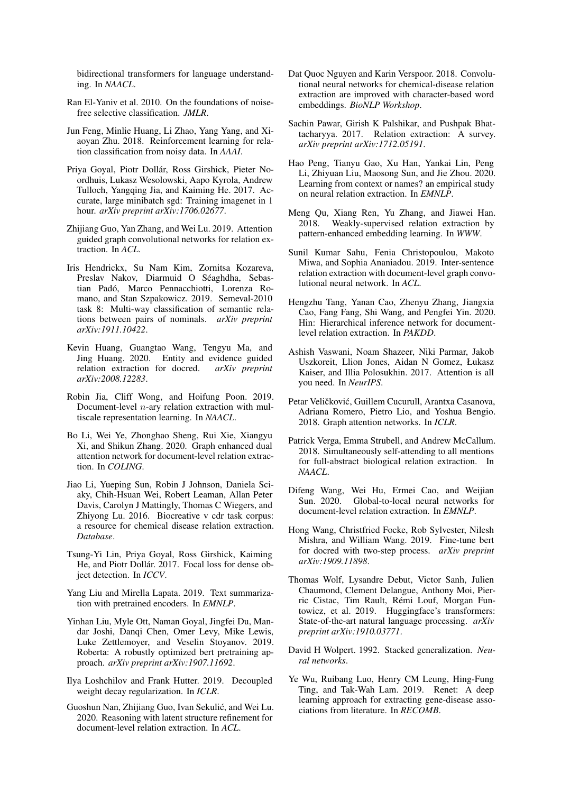bidirectional transformers for language understanding. In *NAACL*.

- <span id="page-9-20"></span>Ran El-Yaniv et al. 2010. On the foundations of noisefree selective classification. *JMLR*.
- <span id="page-9-6"></span>Jun Feng, Minlie Huang, Li Zhao, Yang Yang, and Xiaoyan Zhu. 2018. Reinforcement learning for relation classification from noisy data. In *AAAI*.
- <span id="page-9-24"></span>Priya Goyal, Piotr Dollár, Ross Girshick, Pieter Noordhuis, Lukasz Wesolowski, Aapo Kyrola, Andrew Tulloch, Yangqing Jia, and Kaiming He. 2017. Accurate, large minibatch sgd: Training imagenet in 1 hour. *arXiv preprint arXiv:1706.02677*.
- <span id="page-9-11"></span>Zhijiang Guo, Yan Zhang, and Wei Lu. 2019. Attention guided graph convolutional networks for relation extraction. In *ACL*.
- <span id="page-9-0"></span>Iris Hendrickx, Su Nam Kim, Zornitsa Kozareva, Preslav Nakov, Diarmuid O Séaghdha, Sebastian Padó, Marco Pennacchiotti, Lorenza Romano, and Stan Szpakowicz. 2019. Semeval-2010 task 8: Multi-way classification of semantic relations between pairs of nominals. *arXiv preprint arXiv:1911.10422*.
- <span id="page-9-14"></span>Kevin Huang, Guangtao Wang, Tengyu Ma, and Jing Huang. 2020. Entity and evidence guided relation extraction for docred. *arXiv preprint arXiv:2008.12283*.
- <span id="page-9-19"></span>Robin Jia, Cliff Wong, and Hoifung Poon. 2019. Document-level  $n$ -ary relation extraction with multiscale representation learning. In *NAACL*.
- <span id="page-9-9"></span>Bo Li, Wei Ye, Zhonghao Sheng, Rui Xie, Xiangyu Xi, and Shikun Zhang. 2020. Graph enhanced dual attention network for document-level relation extraction. In *COLING*.
- <span id="page-9-2"></span>Jiao Li, Yueping Sun, Robin J Johnson, Daniela Sciaky, Chih-Hsuan Wei, Robert Leaman, Allan Peter Davis, Carolyn J Mattingly, Thomas C Wiegers, and Zhiyong Lu. 2016. Biocreative v cdr task corpus: a resource for chemical disease relation extraction. *Database*.
- <span id="page-9-18"></span>Tsung-Yi Lin, Priya Goyal, Ross Girshick, Kaiming He, and Piotr Dollár. 2017. Focal loss for dense object detection. In *ICCV*.
- <span id="page-9-16"></span>Yang Liu and Mirella Lapata. 2019. Text summarization with pretrained encoders. In *EMNLP*.
- <span id="page-9-15"></span>Yinhan Liu, Myle Ott, Naman Goyal, Jingfei Du, Mandar Joshi, Danqi Chen, Omer Levy, Mike Lewis, Luke Zettlemoyer, and Veselin Stoyanov. 2019. Roberta: A robustly optimized bert pretraining approach. *arXiv preprint arXiv:1907.11692*.
- <span id="page-9-23"></span>Ilya Loshchilov and Frank Hutter. 2019. Decoupled weight decay regularization. In *ICLR*.
- <span id="page-9-7"></span>Guoshun Nan, Zhijiang Guo, Ivan Sekulić, and Wei Lu. 2020. Reasoning with latent structure refinement for document-level relation extraction. In *ACL*.
- <span id="page-9-26"></span>Dat Quoc Nguyen and Karin Verspoor. 2018. Convolutional neural networks for chemical-disease relation extraction are improved with character-based word embeddings. *BioNLP Workshop*.
- <span id="page-9-4"></span>Sachin Pawar, Girish K Palshikar, and Pushpak Bhattacharyya. 2017. Relation extraction: A survey. *arXiv preprint arXiv:1712.05191*.
- <span id="page-9-1"></span>Hao Peng, Tianyu Gao, Xu Han, Yankai Lin, Peng Li, Zhiyuan Liu, Maosong Sun, and Jie Zhou. 2020. Learning from context or names? an empirical study on neural relation extraction. In *EMNLP*.
- <span id="page-9-5"></span>Meng Qu, Xiang Ren, Yu Zhang, and Jiawei Han. 2018. Weakly-supervised relation extraction by pattern-enhanced embedding learning. In *WWW*.
- <span id="page-9-10"></span>Sunil Kumar Sahu, Fenia Christopoulou, Makoto Miwa, and Sophia Ananiadou. 2019. Inter-sentence relation extraction with document-level graph convolutional neural network. In *ACL*.
- <span id="page-9-13"></span>Hengzhu Tang, Yanan Cao, Zhenyu Zhang, Jiangxia Cao, Fang Fang, Shi Wang, and Pengfei Yin. 2020. Hin: Hierarchical inference network for documentlevel relation extraction. In *PAKDD*.
- <span id="page-9-17"></span>Ashish Vaswani, Noam Shazeer, Niki Parmar, Jakob Uszkoreit, Llion Jones, Aidan N Gomez, Łukasz Kaiser, and Illia Polosukhin. 2017. Attention is all you need. In *NeurIPS*.
- <span id="page-9-27"></span>Petar Veličković, Guillem Cucurull, Arantxa Casanova, Adriana Romero, Pietro Lio, and Yoshua Bengio. 2018. Graph attention networks. In *ICLR*.
- <span id="page-9-25"></span>Patrick Verga, Emma Strubell, and Andrew McCallum. 2018. Simultaneously self-attending to all mentions for full-abstract biological relation extraction. In *NAACL*.
- <span id="page-9-8"></span>Difeng Wang, Wei Hu, Ermei Cao, and Weijian Sun. 2020. Global-to-local neural networks for document-level relation extraction. In *EMNLP*.
- <span id="page-9-12"></span>Hong Wang, Christfried Focke, Rob Sylvester, Nilesh Mishra, and William Wang. 2019. Fine-tune bert for docred with two-step process. *arXiv preprint arXiv:1909.11898*.
- <span id="page-9-22"></span>Thomas Wolf, Lysandre Debut, Victor Sanh, Julien Chaumond, Clement Delangue, Anthony Moi, Pierric Cistac, Tim Rault, Rémi Louf, Morgan Funtowicz, et al. 2019. Huggingface's transformers: State-of-the-art natural language processing. *arXiv preprint arXiv:1910.03771*.
- <span id="page-9-21"></span>David H Wolpert. 1992. Stacked generalization. *Neural networks*.
- <span id="page-9-3"></span>Ye Wu, Ruibang Luo, Henry CM Leung, Hing-Fung Ting, and Tak-Wah Lam. 2019. Renet: A deep learning approach for extracting gene-disease associations from literature. In *RECOMB*.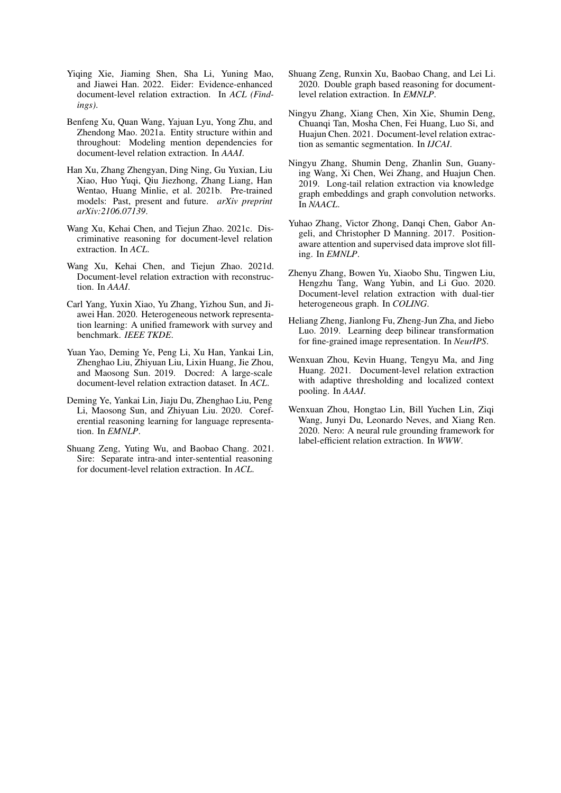- <span id="page-10-13"></span>Yiqing Xie, Jiaming Shen, Sha Li, Yuning Mao, and Jiawei Han. 2022. Eider: Evidence-enhanced document-level relation extraction. In *ACL (Findings)*.
- <span id="page-10-11"></span>Benfeng Xu, Quan Wang, Yajuan Lyu, Yong Zhu, and Zhendong Mao. 2021a. Entity structure within and throughout: Modeling mention dependencies for document-level relation extraction. In *AAAI*.
- <span id="page-10-7"></span>Han Xu, Zhang Zhengyan, Ding Ning, Gu Yuxian, Liu Xiao, Huo Yuqi, Qiu Jiezhong, Zhang Liang, Han Wentao, Huang Minlie, et al. 2021b. Pre-trained models: Past, present and future. *arXiv preprint arXiv:2106.07139*.
- <span id="page-10-9"></span>Wang Xu, Kehai Chen, and Tiejun Zhao. 2021c. Discriminative reasoning for document-level relation extraction. In *ACL*.
- <span id="page-10-10"></span>Wang Xu, Kehai Chen, and Tiejun Zhao. 2021d. Document-level relation extraction with reconstruction. In *AAAI*.
- <span id="page-10-6"></span>Carl Yang, Yuxin Xiao, Yu Zhang, Yizhou Sun, and Jiawei Han. 2020. Heterogeneous network representation learning: A unified framework with survey and benchmark. *IEEE TKDE*.
- <span id="page-10-3"></span>Yuan Yao, Deming Ye, Peng Li, Xu Han, Yankai Lin, Zhenghao Liu, Zhiyuan Liu, Lixin Huang, Jie Zhou, and Maosong Sun. 2019. Docred: A large-scale document-level relation extraction dataset. In *ACL*.
- <span id="page-10-14"></span>Deming Ye, Yankai Lin, Jiaju Du, Zhenghao Liu, Peng Li, Maosong Sun, and Zhiyuan Liu. 2020. Coreferential reasoning learning for language representation. In *EMNLP*.
- <span id="page-10-8"></span>Shuang Zeng, Yuting Wu, and Baobao Chang. 2021. Sire: Separate intra-and inter-sentential reasoning for document-level relation extraction. In *ACL*.
- <span id="page-10-4"></span>Shuang Zeng, Runxin Xu, Baobao Chang, and Lei Li. 2020. Double graph based reasoning for documentlevel relation extraction. In *EMNLP*.
- <span id="page-10-12"></span>Ningyu Zhang, Xiang Chen, Xin Xie, Shumin Deng, Chuanqi Tan, Mosha Chen, Fei Huang, Luo Si, and Huajun Chen. 2021. Document-level relation extraction as semantic segmentation. In *IJCAI*.
- <span id="page-10-1"></span>Ningyu Zhang, Shumin Deng, Zhanlin Sun, Guanying Wang, Xi Chen, Wei Zhang, and Huajun Chen. 2019. Long-tail relation extraction via knowledge graph embeddings and graph convolution networks. In *NAACL*.
- <span id="page-10-0"></span>Yuhao Zhang, Victor Zhong, Danqi Chen, Gabor Angeli, and Christopher D Manning. 2017. Positionaware attention and supervised data improve slot filling. In *EMNLP*.
- <span id="page-10-16"></span>Zhenyu Zhang, Bowen Yu, Xiaobo Shu, Tingwen Liu, Hengzhu Tang, Wang Yubin, and Li Guo. 2020. Document-level relation extraction with dual-tier heterogeneous graph. In *COLING*.
- <span id="page-10-15"></span>Heliang Zheng, Jianlong Fu, Zheng-Jun Zha, and Jiebo Luo. 2019. Learning deep bilinear transformation for fine-grained image representation. In *NeurIPS*.
- <span id="page-10-5"></span>Wenxuan Zhou, Kevin Huang, Tengyu Ma, and Jing Huang. 2021. Document-level relation extraction with adaptive thresholding and localized context pooling. In *AAAI*.
- <span id="page-10-2"></span>Wenxuan Zhou, Hongtao Lin, Bill Yuchen Lin, Ziqi Wang, Junyi Du, Leonardo Neves, and Xiang Ren. 2020. Nero: A neural rule grounding framework for label-efficient relation extraction. In *WWW*.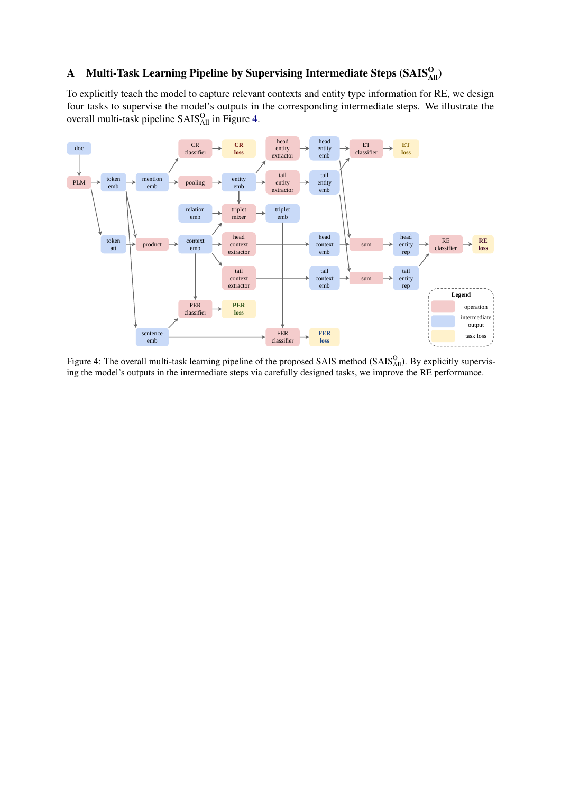## <span id="page-11-0"></span>A Multi-Task Learning Pipeline by Supervising Intermediate Steps (SAIS $_{\rm All}^{\rm O}$ )

To explicitly teach the model to capture relevant contexts and entity type information for RE, we design four tasks to supervise the model's outputs in the corresponding intermediate steps. We illustrate the overall multi-task pipeline  $S A I S<sub>All</sub><sup>O</sup>$  in Figure [4.](#page-11-1)

<span id="page-11-1"></span>

Figure 4: The overall multi-task learning pipeline of the proposed SAIS method  $(SAIS_{All}^O)$ . By explicitly supervising the model's outputs in the intermediate steps via carefully designed tasks, we improve the RE performance.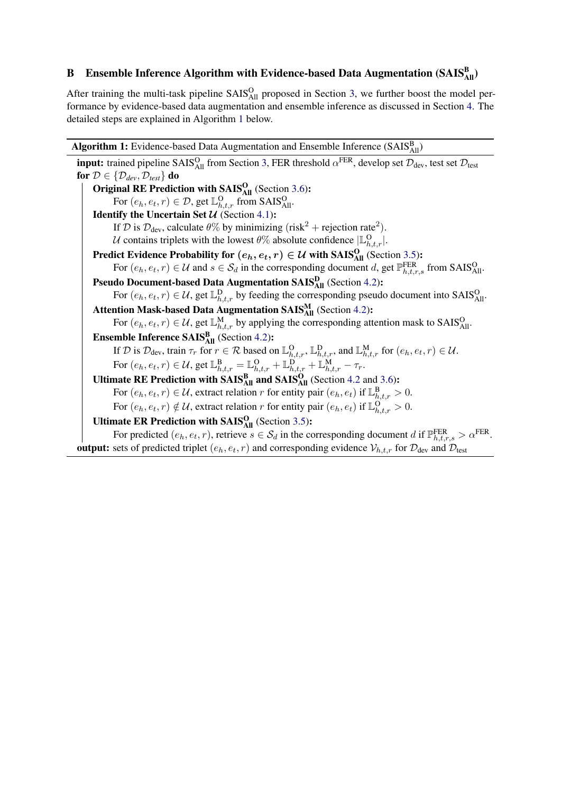# <span id="page-12-0"></span>B Ensemble Inference Algorithm with Evidence-based Data Augmentation (SAIS $_{\rm All}^{\rm B}$ )

After training the multi-task pipeline SAIS<sup>O</sup><sub>All</sub> proposed in Section [3,](#page-2-2) we further boost the model performance by evidence-based data augmentation and ensemble inference as discussed in Section [4.](#page-4-0) The detailed steps are explained in Algorithm [1](#page-12-1) below.

<span id="page-12-1"></span>**Algorithm 1:** Evidence-based Data Augmentation and Ensemble Inference (SAIS $_{\text{All}}^{\text{B}}$ ) **input:** trained pipeline SAIS<sup>O</sup><sub>All</sub> from Section [3,](#page-2-2) FER threshold  $\alpha$ <sup>FER</sup>, develop set  $\mathcal{D}_{dev}$ , test set  $\mathcal{D}_{test}$ for  $\mathcal{D} \in \{ \mathcal{D}_{dev}, \mathcal{D}_{test} \}$  do Original RE Prediction with  $SAIS<sub>All</sub><sup>O</sup>$  (Section [3.6\)](#page-4-1): For  $(e_h, e_t, r) \in \mathcal{D}$ , get  $\mathbb{L}_{h,t,r}^{\Omega}$  from SAIS $_{\text{All}}^{\Omega}$ . Identify the Uncertain Set  $\mathcal{U}$  (Section [4.1\)](#page-4-2): If D is  $\mathcal{D}_{\text{dev}}$ , calculate  $\theta\%$  by minimizing (risk<sup>2</sup> + rejection rate<sup>2</sup>). U contains triplets with the lowest  $\theta\%$  absolute confidence  $|\mathbb{L}_{h,t,r}^{\mathsf{O}}|$ . Predict Evidence Probability for  $(e_h, e_t, r) \in \mathcal{U}$  with SAIS $_{\text{All}}^{\text{O}}$  (Section [3.5\)](#page-3-0): For  $(e_h, e_t, r) \in \mathcal{U}$  and  $s \in \mathcal{S}_d$  in the corresponding document d, get  $\mathbb{P}_{h,t,r,s}^{FER}$  from SAIS $_{\text{All}}^{\text{O}}$ . Pseudo Document-based Data Augmentation SAIS<sup>D</sup><sub>All</sub> (Section [4.2\)](#page-5-0): For  $(e_h, e_t, r) \in U$ , get  $\mathbb{L}_{h,t,r}^D$  by feeding the corresponding pseudo document into SAIS $_{\text{All}}^O$ . Attention Mask-based Data Augmentation  $\text{SAIS}_{\text{All}}^{\text{M}}$  (Section [4.2\)](#page-5-0): For  $(e_h, e_t, r) \in U$ , get  $\mathbb{L}_{h,t,r}^M$  by applying the corresponding attention mask to SAIS $_{\text{All}}^O$ . **Ensemble Inference**  $SAIS<sub>All</sub><sup>B</sup>$  (Section [4.2\)](#page-5-0): If D is  $\mathcal{D}_{dev}$ , train  $\tau_r$  for  $r \in \mathcal{R}$  based on  $\mathbb{L}_{h,t,r}^{\mathcal{D}}, \mathbb{L}_{h,t,r}^{\mathcal{D}}$ , and  $\mathbb{L}_{h,t,r}^{\mathcal{M}}$  for  $(e_h, e_t, r) \in \mathcal{U}$ . For  $(e_h, e_t, r) \in \mathcal{U}$ , get  $\mathbb{L}_{h,t,r}^{\mathbf{B}} = \mathbb{L}_{h,t,r}^{\mathbf{O}} + \mathbb{L}_{h,t,r}^{\mathbf{D}} + \mathbb{L}_{h,t,r}^{\mathbf{M}} - \tau_r$ . Ultimate RE Prediction with  $SAIS<sub>All</sub><sup>B</sup>$  and  $SAIS<sub>All</sub><sup>O</sup>$  (Section [4.2](#page-5-0) and [3.6\)](#page-4-1): For  $(e_h, e_t, r) \in U$ , extract relation r for entity pair  $(e_h, e_t)$  if  $\mathbb{L}_{h,t,r}^B > 0$ . For  $(e_h, e_t, r) \notin \mathcal{U}$ , extract relation r for entity pair  $(e_h, e_t)$  if  $\mathbb{L}_{h,t,r}^O > 0$ . Ultimate ER Prediction with  $SAIS<sub>All</sub><sup>O</sup>$  (Section [3.5\)](#page-3-0): For predicted  $(e_h, e_t, r)$ , retrieve  $s \in S_d$  in the corresponding document d if  $\mathbb{P}_{h,t,r,s}^{FER} > \alpha^{FER}$ . **output:** sets of predicted triplet  $(e_h, e_t, r)$  and corresponding evidence  $V_{h,t,r}$  for  $\mathcal{D}_{dev}$  and  $\mathcal{D}_{test}$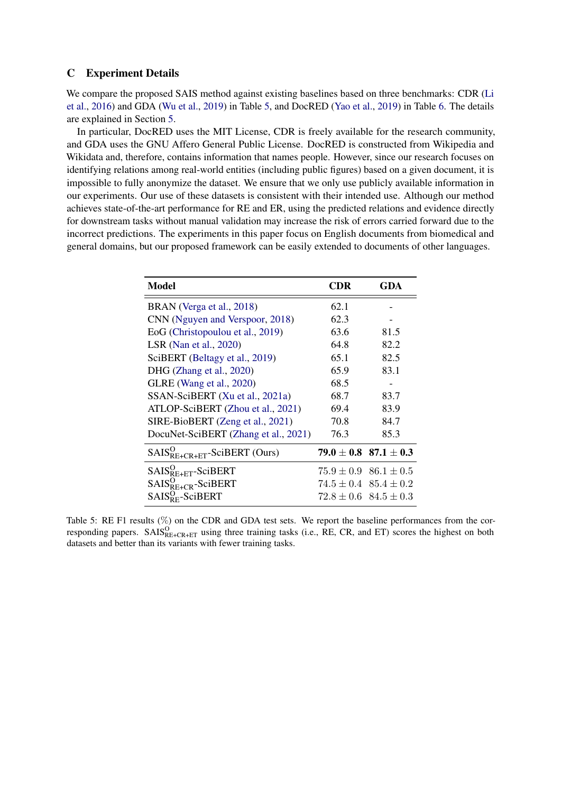## <span id="page-13-0"></span>C Experiment Details

We compare the proposed SAIS method against existing baselines based on three benchmarks: CDR [\(Li](#page-9-2) [et al.,](#page-9-2) [2016\)](#page-9-2) and GDA [\(Wu et al.,](#page-9-3) [2019\)](#page-9-3) in Table [5,](#page-13-1) and DocRED [\(Yao et al.,](#page-10-3) [2019\)](#page-10-3) in Table [6.](#page-14-0) The details are explained in Section [5.](#page-5-2)

In particular, DocRED uses the MIT License, CDR is freely available for the research community, and GDA uses the GNU Affero General Public License. DocRED is constructed from Wikipedia and Wikidata and, therefore, contains information that names people. However, since our research focuses on identifying relations among real-world entities (including public figures) based on a given document, it is impossible to fully anonymize the dataset. We ensure that we only use publicly available information in our experiments. Our use of these datasets is consistent with their intended use. Although our method achieves state-of-the-art performance for RE and ER, using the predicted relations and evidence directly for downstream tasks without manual validation may increase the risk of errors carried forward due to the incorrect predictions. The experiments in this paper focus on English documents from biomedical and general domains, but our proposed framework can be easily extended to documents of other languages.

<span id="page-13-1"></span>

| Model                                | CDR  | GDA                           |
|--------------------------------------|------|-------------------------------|
| BRAN (Verga et al., 2018)            | 62.1 |                               |
| CNN (Nguyen and Verspoor, 2018)      | 62.3 |                               |
| EoG (Christopoulou et al., 2019)     | 63.6 | 81.5                          |
| LSR (Nan et al., 2020)               | 64.8 | 82.2                          |
| SciBERT (Beltagy et al., 2019)       | 65.1 | 82.5                          |
| DHG (Zhang et al., 2020)             | 65.9 | 83.1                          |
| GLRE (Wang et al., 2020)             | 68.5 |                               |
| SSAN-SciBERT (Xu et al., 2021a)      | 68.7 | 83.7                          |
| ATLOP-SciBERT (Zhou et al., 2021)    | 69.4 | 83.9                          |
| SIRE-BioBERT (Zeng et al., 2021)     | 70.8 | 84.7                          |
| DocuNet-SciBERT (Zhang et al., 2021) | 76.3 | 85.3                          |
| $SALS_{RE+CR+ET}^O$ -SciBERT (Ours)  |      | $79.0 \pm 0.8$ 87.1 $\pm$ 0.3 |
| $SAIS_{RE+ET}^{O}$ -SciBERT          |      | $75.9 \pm 0.9$ 86.1 $\pm 0.5$ |
| $SALS_{R E+CR}^O$ -SciBERT           |      | $74.5 \pm 0.4$ $85.4 \pm 0.2$ |
| $SAIS_{RF}^{O}$ -SciBERT             |      | $72.8 \pm 0.6$ $84.5 \pm 0.3$ |

Table 5: RE F1 results (%) on the CDR and GDA test sets. We report the baseline performances from the corresponding papers.  $SALS_{RE+CR+ET}^O$  using three training tasks (i.e., RE, CR, and ET) scores the highest on both datasets and better than its variants with fewer training tasks.